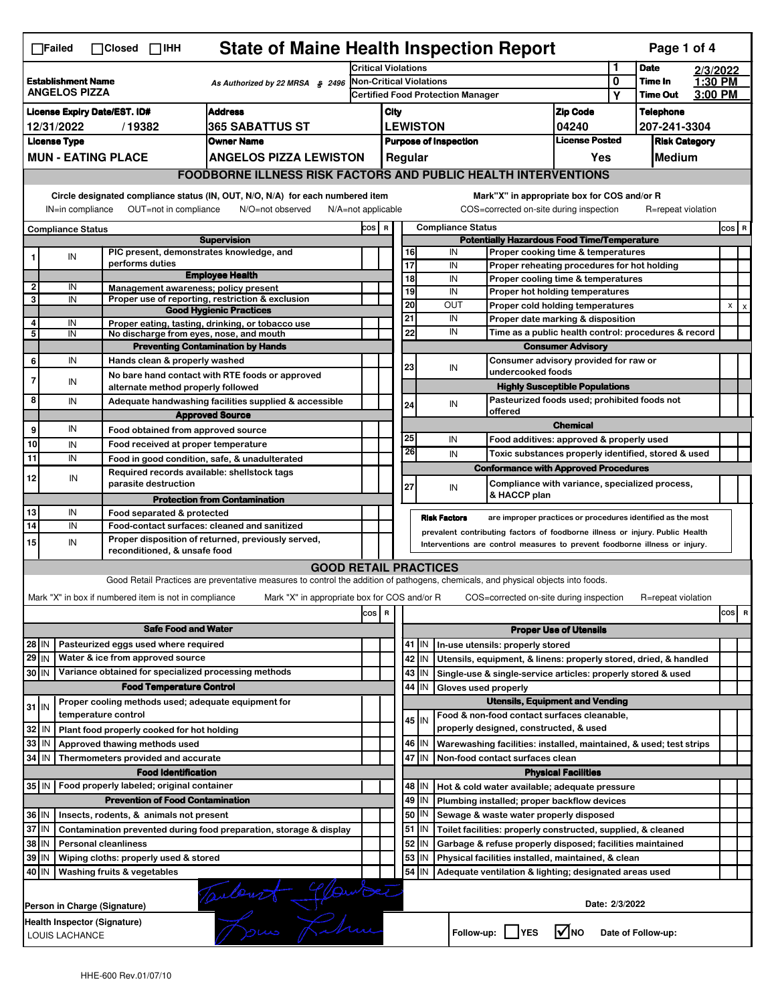|                                                                                      | <b>State of Maine Health Inspection Report</b><br>Page 1 of 4<br>$\Box$ Failed<br>$\Box$ Closed $\Box$ IHH                                                            |                              |                                                       |                                                                                                                                   |                                                                                                                                                            |                                                                                    |                                                                              |         |                                                                                        |                                                                       |                            |                    |          |              |   |  |  |
|--------------------------------------------------------------------------------------|-----------------------------------------------------------------------------------------------------------------------------------------------------------------------|------------------------------|-------------------------------------------------------|-----------------------------------------------------------------------------------------------------------------------------------|------------------------------------------------------------------------------------------------------------------------------------------------------------|------------------------------------------------------------------------------------|------------------------------------------------------------------------------|---------|----------------------------------------------------------------------------------------|-----------------------------------------------------------------------|----------------------------|--------------------|----------|--------------|---|--|--|
|                                                                                      |                                                                                                                                                                       |                              |                                                       |                                                                                                                                   |                                                                                                                                                            | <b>Critical Violations</b>                                                         |                                                                              |         |                                                                                        |                                                                       |                            | <b>Date</b>        | 2/3/2022 |              |   |  |  |
| <b>Establishment Name</b><br>As Authorized by 22 MRSA § 2496<br><b>ANGELOS PIZZA</b> |                                                                                                                                                                       |                              |                                                       | <b>Non-Critical Violations</b>                                                                                                    |                                                                                                                                                            |                                                                                    |                                                                              |         |                                                                                        | 0                                                                     | Time In<br><b>Time Out</b> | $1:30$ PM          |          |              |   |  |  |
|                                                                                      |                                                                                                                                                                       |                              |                                                       |                                                                                                                                   |                                                                                                                                                            |                                                                                    |                                                                              |         | Certified Food Protection Manager                                                      |                                                                       | Υ                          |                    | 3:00 PM  |              |   |  |  |
|                                                                                      | <b>Address</b><br><b>License Expiry Date/EST. ID#</b>                                                                                                                 |                              |                                                       |                                                                                                                                   |                                                                                                                                                            | City                                                                               |                                                                              |         |                                                                                        | <b>Zip Code</b>                                                       |                            | <b>Telephone</b>   |          |              |   |  |  |
|                                                                                      | <b>365 SABATTUS ST</b><br>12/31/2022<br>/19382                                                                                                                        |                              |                                                       |                                                                                                                                   |                                                                                                                                                            | <b>LEWISTON</b><br>04240<br>207-241-3304                                           |                                                                              |         |                                                                                        |                                                                       |                            |                    |          |              |   |  |  |
|                                                                                      | <b>License Type</b>                                                                                                                                                   |                              |                                                       | <b>Owner Name</b>                                                                                                                 |                                                                                                                                                            | <b>License Posted</b><br><b>Purpose of Inspection</b><br><b>Risk Category</b>      |                                                                              |         |                                                                                        |                                                                       |                            |                    |          |              |   |  |  |
|                                                                                      |                                                                                                                                                                       | <b>MUN - EATING PLACE</b>    |                                                       | <b>ANGELOS PIZZA LEWISTON</b>                                                                                                     |                                                                                                                                                            | Medium<br>Regular<br>Yes                                                           |                                                                              |         |                                                                                        |                                                                       |                            |                    |          |              |   |  |  |
|                                                                                      |                                                                                                                                                                       |                              |                                                       | <b>FOODBORNE ILLNESS RISK FACTORS AND PUBLIC HEALTH INTERVENTIONS</b>                                                             |                                                                                                                                                            |                                                                                    |                                                                              |         |                                                                                        |                                                                       |                            |                    |          |              |   |  |  |
|                                                                                      | Circle designated compliance status (IN, OUT, N/O, N/A) for each numbered item<br>OUT=not in compliance<br>IN=in compliance<br>N/O=not observed<br>N/A=not applicable |                              |                                                       |                                                                                                                                   |                                                                                                                                                            |                                                                                    |                                                                              |         | Mark"X" in appropriate box for COS and/or R<br>COS=corrected on-site during inspection |                                                                       |                            | R=repeat violation |          |              |   |  |  |
| <b>Compliance Status</b>                                                             |                                                                                                                                                                       |                              |                                                       |                                                                                                                                   | COS R                                                                                                                                                      |                                                                                    |                                                                              |         | <b>Compliance Status</b>                                                               |                                                                       |                            |                    |          | COS R        |   |  |  |
|                                                                                      |                                                                                                                                                                       |                              |                                                       | <b>Supervision</b>                                                                                                                |                                                                                                                                                            |                                                                                    |                                                                              |         | <b>Potentially Hazardous Food Time/Temperature</b>                                     |                                                                       |                            |                    |          |              |   |  |  |
| 1                                                                                    | ${\sf IN}$                                                                                                                                                            |                              |                                                       | PIC present, demonstrates knowledge, and                                                                                          |                                                                                                                                                            |                                                                                    | 16                                                                           |         | IN                                                                                     | Proper cooking time & temperatures                                    |                            |                    |          |              |   |  |  |
|                                                                                      |                                                                                                                                                                       |                              | performs duties                                       | <b>Employee Health</b>                                                                                                            |                                                                                                                                                            |                                                                                    | 17<br>18                                                                     |         | IN<br>IN                                                                               | Proper reheating procedures for hot holding                           |                            |                    |          |              |   |  |  |
| $\overline{2}$                                                                       | IN                                                                                                                                                                    |                              |                                                       | Management awareness; policy present                                                                                              |                                                                                                                                                            |                                                                                    | 19                                                                           |         | IN                                                                                     | Proper cooling time & temperatures<br>Proper hot holding temperatures |                            |                    |          |              |   |  |  |
| 3                                                                                    | IN                                                                                                                                                                    |                              |                                                       | Proper use of reporting, restriction & exclusion                                                                                  |                                                                                                                                                            |                                                                                    | 20                                                                           |         | OUT                                                                                    |                                                                       |                            |                    |          | $\mathsf{x}$ |   |  |  |
|                                                                                      |                                                                                                                                                                       |                              |                                                       | <b>Good Hygienic Practices</b>                                                                                                    |                                                                                                                                                            |                                                                                    | 21                                                                           |         | IN                                                                                     | Proper cold holding temperatures<br>Proper date marking & disposition |                            |                    |          |              |   |  |  |
| 4<br>5                                                                               | IN<br>IN                                                                                                                                                              |                              |                                                       | Proper eating, tasting, drinking, or tobacco use<br>No discharge from eyes, nose, and mouth                                       |                                                                                                                                                            |                                                                                    | 22                                                                           |         | IN                                                                                     | Time as a public health control: procedures & record                  |                            |                    |          |              |   |  |  |
|                                                                                      |                                                                                                                                                                       |                              |                                                       | <b>Preventing Contamination by Hands</b>                                                                                          |                                                                                                                                                            |                                                                                    |                                                                              |         |                                                                                        | <b>Consumer Advisory</b>                                              |                            |                    |          |              |   |  |  |
| 6                                                                                    | IN                                                                                                                                                                    |                              | Hands clean & properly washed                         |                                                                                                                                   |                                                                                                                                                            |                                                                                    |                                                                              |         |                                                                                        | Consumer advisory provided for raw or                                 |                            |                    |          |              |   |  |  |
|                                                                                      |                                                                                                                                                                       |                              |                                                       | No bare hand contact with RTE foods or approved                                                                                   |                                                                                                                                                            |                                                                                    | 23                                                                           |         | IN                                                                                     | undercooked foods                                                     |                            |                    |          |              |   |  |  |
| $\overline{7}$                                                                       | IN                                                                                                                                                                    |                              | alternate method properly followed                    |                                                                                                                                   |                                                                                                                                                            |                                                                                    |                                                                              |         |                                                                                        | <b>Highly Susceptible Populations</b>                                 |                            |                    |          |              |   |  |  |
| 8                                                                                    | IN                                                                                                                                                                    |                              |                                                       | Adequate handwashing facilities supplied & accessible                                                                             |                                                                                                                                                            |                                                                                    |                                                                              |         |                                                                                        | Pasteurized foods used; prohibited foods not                          |                            |                    |          |              |   |  |  |
|                                                                                      |                                                                                                                                                                       |                              |                                                       | <b>Approved Source</b>                                                                                                            |                                                                                                                                                            |                                                                                    | 24                                                                           |         | IN<br>offered                                                                          |                                                                       |                            |                    |          |              |   |  |  |
| 9                                                                                    | IN                                                                                                                                                                    |                              | Food obtained from approved source                    |                                                                                                                                   |                                                                                                                                                            |                                                                                    |                                                                              |         |                                                                                        | <b>Chemical</b>                                                       |                            |                    |          |              |   |  |  |
| 10                                                                                   | IN                                                                                                                                                                    |                              | Food received at proper temperature                   |                                                                                                                                   |                                                                                                                                                            |                                                                                    | 25                                                                           |         | IN                                                                                     | Food additives: approved & properly used                              |                            |                    |          |              |   |  |  |
| 11                                                                                   | IN                                                                                                                                                                    |                              |                                                       |                                                                                                                                   |                                                                                                                                                            |                                                                                    | 26                                                                           |         | IN                                                                                     | Toxic substances properly identified, stored & used                   |                            |                    |          |              |   |  |  |
|                                                                                      |                                                                                                                                                                       |                              |                                                       | Food in good condition, safe, & unadulterated<br>Required records available: shellstock tags                                      |                                                                                                                                                            |                                                                                    |                                                                              |         | <b>Conformance with Approved Procedures</b>                                            |                                                                       |                            |                    |          |              |   |  |  |
| 12                                                                                   | IN                                                                                                                                                                    |                              | parasite destruction                                  |                                                                                                                                   |                                                                                                                                                            |                                                                                    |                                                                              |         |                                                                                        | Compliance with variance, specialized process,                        |                            |                    |          |              |   |  |  |
|                                                                                      |                                                                                                                                                                       |                              |                                                       | <b>Protection from Contamination</b>                                                                                              |                                                                                                                                                            |                                                                                    | 27                                                                           |         | IN<br>& HACCP plan                                                                     |                                                                       |                            |                    |          |              |   |  |  |
| 13                                                                                   | IN                                                                                                                                                                    |                              | Food separated & protected                            |                                                                                                                                   |                                                                                                                                                            |                                                                                    |                                                                              |         |                                                                                        |                                                                       |                            |                    |          |              |   |  |  |
| 14                                                                                   | IN                                                                                                                                                                    |                              |                                                       | Food-contact surfaces: cleaned and sanitized                                                                                      |                                                                                                                                                            | <b>Risk Factors</b><br>are improper practices or procedures identified as the most |                                                                              |         |                                                                                        |                                                                       |                            |                    |          |              |   |  |  |
| 15                                                                                   | IN                                                                                                                                                                    |                              |                                                       | Proper disposition of returned, previously served,                                                                                | prevalent contributing factors of foodborne illness or injury. Public Health<br>Interventions are control measures to prevent foodborne illness or injury. |                                                                                    |                                                                              |         |                                                                                        |                                                                       |                            |                    |          |              |   |  |  |
|                                                                                      |                                                                                                                                                                       |                              | reconditioned, & unsafe food                          |                                                                                                                                   |                                                                                                                                                            |                                                                                    |                                                                              |         |                                                                                        |                                                                       |                            |                    |          |              |   |  |  |
|                                                                                      |                                                                                                                                                                       |                              |                                                       | <b>GOOD RETAIL PRACTICES</b>                                                                                                      |                                                                                                                                                            |                                                                                    |                                                                              |         |                                                                                        |                                                                       |                            |                    |          |              |   |  |  |
|                                                                                      |                                                                                                                                                                       |                              |                                                       | Good Retail Practices are preventative measures to control the addition of pathogens, chemicals, and physical objects into foods. |                                                                                                                                                            |                                                                                    |                                                                              |         |                                                                                        |                                                                       |                            |                    |          |              |   |  |  |
|                                                                                      |                                                                                                                                                                       |                              | Mark "X" in box if numbered item is not in compliance | Mark "X" in appropriate box for COS and/or R                                                                                      |                                                                                                                                                            |                                                                                    |                                                                              |         | COS=corrected on-site during inspection                                                |                                                                       |                            | R=repeat violation |          |              |   |  |  |
|                                                                                      |                                                                                                                                                                       |                              |                                                       |                                                                                                                                   | cos                                                                                                                                                        | $\overline{\mathbf{R}}$                                                            |                                                                              |         |                                                                                        |                                                                       |                            |                    |          | cos          | R |  |  |
|                                                                                      |                                                                                                                                                                       |                              | <b>Safe Food and Water</b>                            |                                                                                                                                   |                                                                                                                                                            |                                                                                    |                                                                              |         |                                                                                        |                                                                       |                            |                    |          |              |   |  |  |
|                                                                                      |                                                                                                                                                                       |                              |                                                       |                                                                                                                                   |                                                                                                                                                            |                                                                                    | <b>Proper Use of Utensils</b><br>41 J IN<br>In-use utensils: properly stored |         |                                                                                        |                                                                       |                            |                    |          |              |   |  |  |
| 28 IN                                                                                |                                                                                                                                                                       |                              | Pasteurized eggs used where required                  |                                                                                                                                   |                                                                                                                                                            |                                                                                    |                                                                              |         |                                                                                        |                                                                       |                            |                    |          |              |   |  |  |
| $29$ IN                                                                              |                                                                                                                                                                       |                              | Water & ice from approved source                      |                                                                                                                                   |                                                                                                                                                            |                                                                                    |                                                                              | 42 IN   | Utensils, equipment, & linens: properly stored, dried, & handled                       |                                                                       |                            |                    |          |              |   |  |  |
| 30 IN                                                                                |                                                                                                                                                                       |                              |                                                       | Variance obtained for specialized processing methods                                                                              |                                                                                                                                                            |                                                                                    |                                                                              | 43   IN | Single-use & single-service articles: properly stored & used                           |                                                                       |                            |                    |          |              |   |  |  |
|                                                                                      |                                                                                                                                                                       |                              | <b>Food Temperature Control</b>                       |                                                                                                                                   |                                                                                                                                                            |                                                                                    | 44                                                                           | IN      | Gloves used properly                                                                   |                                                                       |                            |                    |          |              |   |  |  |
| $31$ IN                                                                              |                                                                                                                                                                       |                              |                                                       | Proper cooling methods used; adequate equipment for                                                                               |                                                                                                                                                            |                                                                                    |                                                                              |         |                                                                                        | <b>Utensils, Equipment and Vending</b>                                |                            |                    |          |              |   |  |  |
|                                                                                      |                                                                                                                                                                       | temperature control          |                                                       |                                                                                                                                   |                                                                                                                                                            |                                                                                    |                                                                              | $45$ IN | Food & non-food contact surfaces cleanable,                                            |                                                                       |                            |                    |          |              |   |  |  |
| 32                                                                                   | IN                                                                                                                                                                    |                              | Plant food properly cooked for hot holding            |                                                                                                                                   |                                                                                                                                                            |                                                                                    |                                                                              |         | properly designed, constructed, & used                                                 |                                                                       |                            |                    |          |              |   |  |  |
| 33                                                                                   | IN                                                                                                                                                                    |                              | Approved thawing methods used                         |                                                                                                                                   |                                                                                                                                                            |                                                                                    |                                                                              | 46 IN   | Warewashing facilities: installed, maintained, & used; test strips                     |                                                                       |                            |                    |          |              |   |  |  |
| 34                                                                                   | l IN                                                                                                                                                                  |                              | Thermometers provided and accurate                    |                                                                                                                                   |                                                                                                                                                            |                                                                                    |                                                                              | 47 I IN | Non-food contact surfaces clean                                                        |                                                                       |                            |                    |          |              |   |  |  |
|                                                                                      |                                                                                                                                                                       |                              | <b>Food Identification</b>                            |                                                                                                                                   |                                                                                                                                                            |                                                                                    |                                                                              |         |                                                                                        | <b>Physical Facilities</b>                                            |                            |                    |          |              |   |  |  |
|                                                                                      | 35 IN   Food properly labeled; original container                                                                                                                     |                              |                                                       |                                                                                                                                   |                                                                                                                                                            |                                                                                    |                                                                              | 48   IN | Hot & cold water available; adequate pressure                                          |                                                                       |                            |                    |          |              |   |  |  |
|                                                                                      |                                                                                                                                                                       |                              | <b>Prevention of Food Contamination</b>               |                                                                                                                                   |                                                                                                                                                            |                                                                                    | 49                                                                           | IN      | Plumbing installed; proper backflow devices                                            |                                                                       |                            |                    |          |              |   |  |  |
| 36 IN                                                                                |                                                                                                                                                                       |                              | Insects, rodents, & animals not present               |                                                                                                                                   |                                                                                                                                                            |                                                                                    | 50                                                                           | IN      | Sewage & waste water properly disposed                                                 |                                                                       |                            |                    |          |              |   |  |  |
|                                                                                      | 37 IN<br>51<br>Contamination prevented during food preparation, storage & display<br>Toilet facilities: properly constructed, supplied, & cleaned<br>IN.              |                              |                                                       |                                                                                                                                   |                                                                                                                                                            |                                                                                    |                                                                              |         |                                                                                        |                                                                       |                            |                    |          |              |   |  |  |
| 38<br>52<br>ΙM<br><b>Personal cleanliness</b><br>ΙN                                  |                                                                                                                                                                       |                              |                                                       |                                                                                                                                   |                                                                                                                                                            | Garbage & refuse properly disposed; facilities maintained                          |                                                                              |         |                                                                                        |                                                                       |                            |                    |          |              |   |  |  |
| 39                                                                                   | ΙM                                                                                                                                                                    |                              | Wiping cloths: properly used & stored                 |                                                                                                                                   |                                                                                                                                                            |                                                                                    | 53                                                                           | IN      | Physical facilities installed, maintained, & clean                                     |                                                                       |                            |                    |          |              |   |  |  |
|                                                                                      | $54$ IN<br>40 IN<br>Washing fruits & vegetables<br>Adequate ventilation & lighting; designated areas used                                                             |                              |                                                       |                                                                                                                                   |                                                                                                                                                            |                                                                                    |                                                                              |         |                                                                                        |                                                                       |                            |                    |          |              |   |  |  |
|                                                                                      | Tauburt Glander<br>Date: 2/3/2022<br>Person in Charge (Signature)                                                                                                     |                              |                                                       |                                                                                                                                   |                                                                                                                                                            |                                                                                    |                                                                              |         |                                                                                        |                                                                       |                            |                    |          |              |   |  |  |
|                                                                                      |                                                                                                                                                                       |                              |                                                       |                                                                                                                                   |                                                                                                                                                            |                                                                                    |                                                                              |         |                                                                                        |                                                                       |                            |                    |          |              |   |  |  |
|                                                                                      |                                                                                                                                                                       | Health Inspector (Signature) |                                                       |                                                                                                                                   |                                                                                                                                                            |                                                                                    |                                                                              |         |                                                                                        |                                                                       |                            |                    |          |              |   |  |  |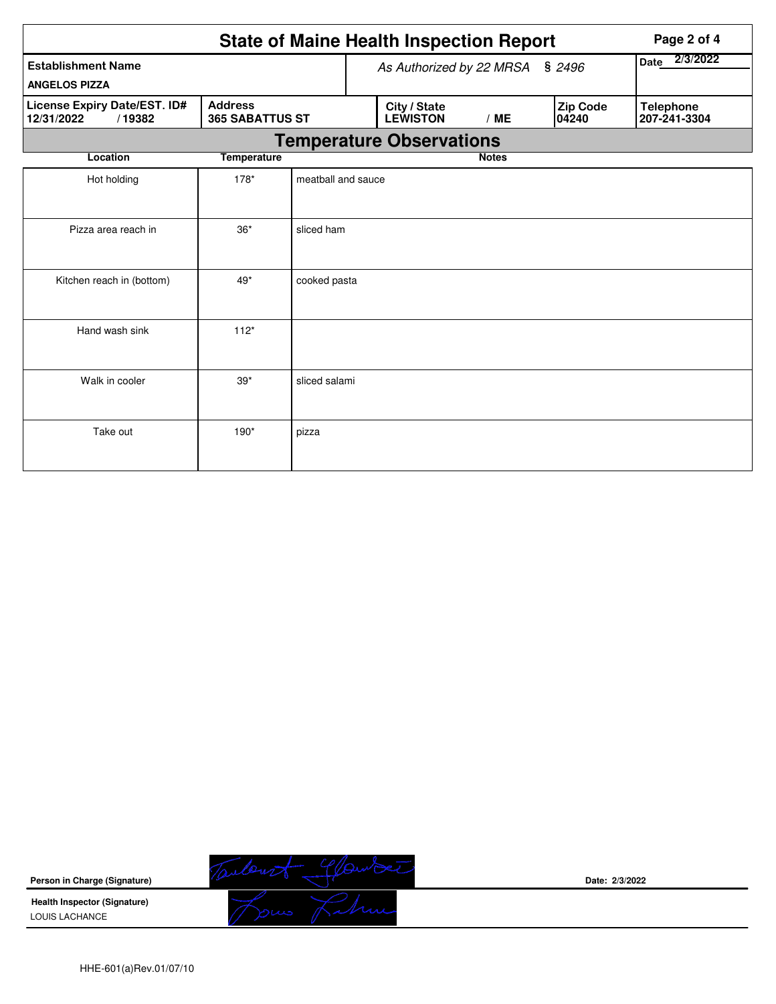|                                                                                                  | Page 2 of 4        |                                 |                                 |              |                   |                                  |
|--------------------------------------------------------------------------------------------------|--------------------|---------------------------------|---------------------------------|--------------|-------------------|----------------------------------|
| <b>Establishment Name</b><br><b>ANGELOS PIZZA</b>                                                |                    | As Authorized by 22 MRSA § 2496 | 2/3/2022<br>Date                |              |                   |                                  |
| <b>Address</b><br>License Expiry Date/EST. ID#<br>/19382<br><b>365 SABATTUS ST</b><br>12/31/2022 |                    |                                 | City / State<br><b>LEWISTON</b> | /ME          | Zip Code<br>04240 | <b>Telephone</b><br>207-241-3304 |
|                                                                                                  |                    |                                 | <b>Temperature Observations</b> |              |                   |                                  |
| Location                                                                                         | <b>Temperature</b> |                                 |                                 | <b>Notes</b> |                   |                                  |
| Hot holding                                                                                      | $178*$             | meatball and sauce              |                                 |              |                   |                                  |
| Pizza area reach in                                                                              | $36*$              | sliced ham                      |                                 |              |                   |                                  |
| Kitchen reach in (bottom)                                                                        | $49*$              | cooked pasta                    |                                 |              |                   |                                  |
| Hand wash sink                                                                                   | $112*$             |                                 |                                 |              |                   |                                  |
| Walk in cooler                                                                                   | $39*$              | sliced salami                   |                                 |              |                   |                                  |
| Take out                                                                                         | $190*$             | pizza                           |                                 |              |                   |                                  |

**Person in Charge (Signature)**

Temberst Glander

**Date: 2/3/2022**

**Health Inspector (Signature)**  LOUIS LACHANCE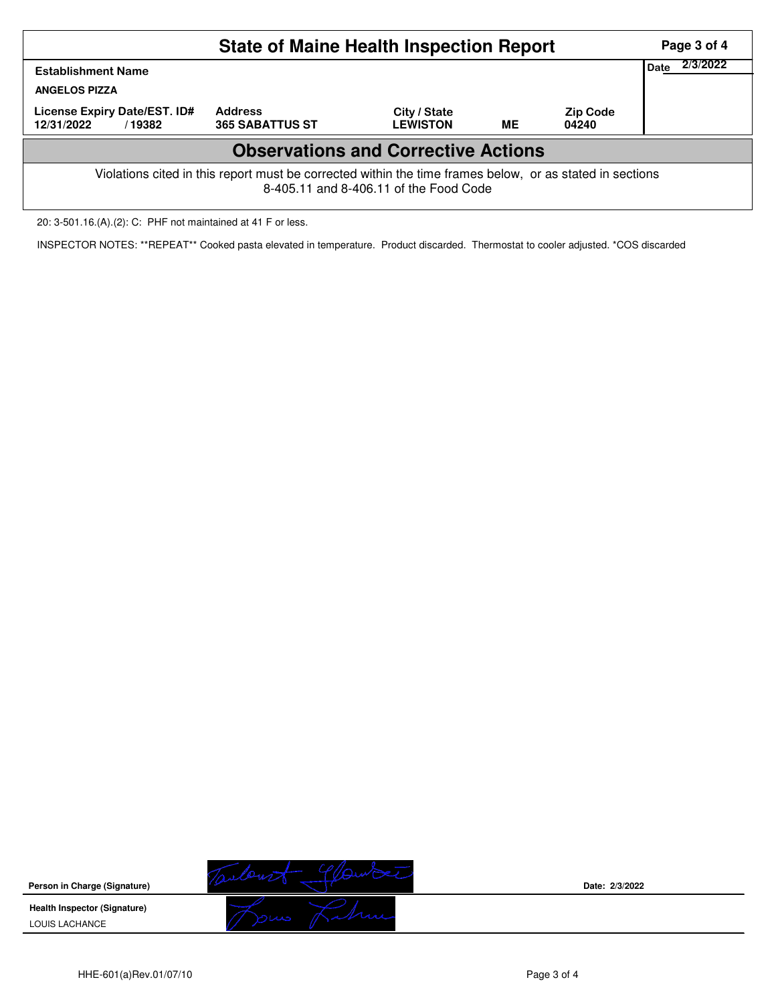|                                                                                                                                                    | Page 3 of 4                              |                                 |    |                          |  |  |  |  |  |
|----------------------------------------------------------------------------------------------------------------------------------------------------|------------------------------------------|---------------------------------|----|--------------------------|--|--|--|--|--|
| <b>Establishment Name</b><br><b>ANGELOS PIZZA</b>                                                                                                  | 2/3/2022<br>Date                         |                                 |    |                          |  |  |  |  |  |
| License Expiry Date/EST. ID#<br>12/31/2022<br>/19382                                                                                               | <b>Address</b><br><b>365 SABATTUS ST</b> | City / State<br><b>LEWISTON</b> | ME | <b>Zip Code</b><br>04240 |  |  |  |  |  |
| <b>Observations and Corrective Actions</b>                                                                                                         |                                          |                                 |    |                          |  |  |  |  |  |
| Violations cited in this report must be corrected within the time frames below, or as stated in sections<br>8-405.11 and 8-406.11 of the Food Code |                                          |                                 |    |                          |  |  |  |  |  |

20: 3-501.16.(A).(2): C: PHF not maintained at 41 F or less.

INSPECTOR NOTES: \*\*REPEAT\*\* Cooked pasta elevated in temperature. Product discarded. Thermostat to cooler adjusted. \*COS discarded

**Person in Charge (Signature)**

**Health Inspector (Signature)**  LOUIS LACHANCE



**Date: 2/3/2022**